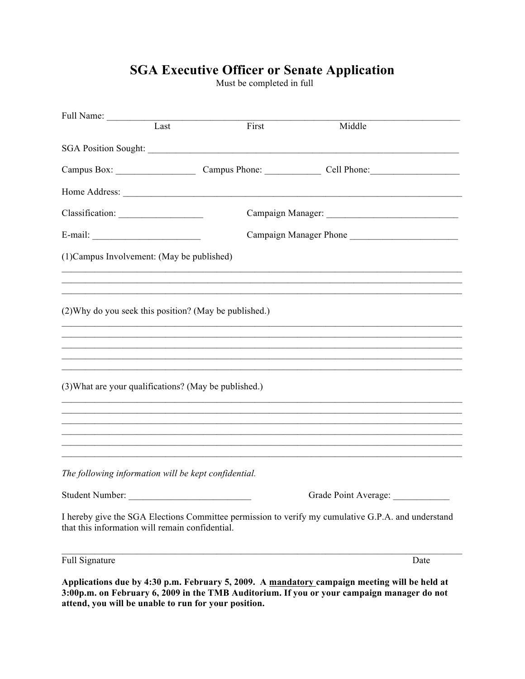## **SGA Executive Officer or Senate Application**<br>Must be completed in full

| Full Name:                                             |      |                        |                                                                                                    |
|--------------------------------------------------------|------|------------------------|----------------------------------------------------------------------------------------------------|
|                                                        | Last | First                  | Middle                                                                                             |
|                                                        |      |                        |                                                                                                    |
|                                                        |      |                        | Campus Box: Campus Phone: Campus Phone: Cell Phone: Cell Phone:                                    |
|                                                        |      |                        |                                                                                                    |
| Classification:                                        |      |                        |                                                                                                    |
|                                                        |      | Campaign Manager Phone |                                                                                                    |
| (1) Campus Involvement: (May be published)             |      |                        |                                                                                                    |
|                                                        |      |                        |                                                                                                    |
|                                                        |      |                        |                                                                                                    |
| (2) Why do you seek this position? (May be published.) |      |                        |                                                                                                    |
|                                                        |      |                        |                                                                                                    |
|                                                        |      |                        |                                                                                                    |
|                                                        |      |                        |                                                                                                    |
| (3) What are your qualifications? (May be published.)  |      |                        | ,我们也不会有什么。""我们的人,我们也不会有什么?""我们的人,我们也不会有什么?""我们的人,我们也不会有什么?""我们的人,我们也不会有什么?""我们的人                   |
|                                                        |      |                        |                                                                                                    |
|                                                        |      |                        |                                                                                                    |
|                                                        |      |                        |                                                                                                    |
|                                                        |      |                        |                                                                                                    |
| The following information will be kept confidential.   |      |                        |                                                                                                    |
| Student Number:                                        |      |                        | Grade Point Average:                                                                               |
| that this information will remain confidential.        |      |                        | I hereby give the SGA Elections Committee permission to verify my cumulative G.P.A. and understand |
| <b>Full Signature</b>                                  |      |                        | Date                                                                                               |
|                                                        |      |                        |                                                                                                    |

Applications due by 4:30 p.m. February 5, 2009. A mandatory campaign meeting will be held at 3:00p.m. on February 6, 2009 in the TMB Auditorium. If you or your campaign manager do not<br>attend, you will be unable to run for your position.